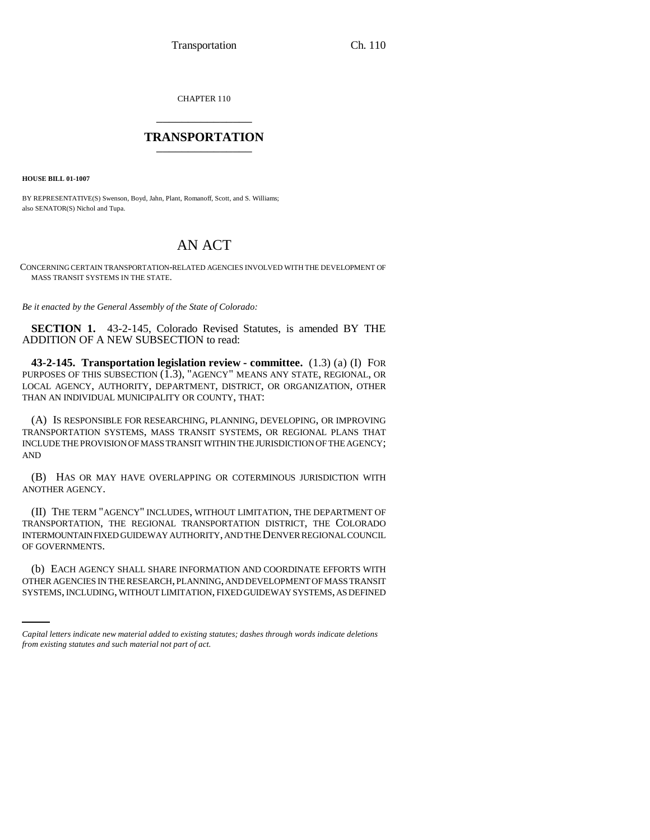CHAPTER 110 \_\_\_\_\_\_\_\_\_\_\_\_\_\_\_

## **TRANSPORTATION** \_\_\_\_\_\_\_\_\_\_\_\_\_\_\_

**HOUSE BILL 01-1007**

BY REPRESENTATIVE(S) Swenson, Boyd, Jahn, Plant, Romanoff, Scott, and S. Williams; also SENATOR(S) Nichol and Tupa.

## AN ACT

CONCERNING CERTAIN TRANSPORTATION-RELATED AGENCIES INVOLVED WITH THE DEVELOPMENT OF MASS TRANSIT SYSTEMS IN THE STATE.

*Be it enacted by the General Assembly of the State of Colorado:*

**SECTION 1.** 43-2-145, Colorado Revised Statutes, is amended BY THE ADDITION OF A NEW SUBSECTION to read:

**43-2-145. Transportation legislation review - committee.** (1.3) (a) (I) FOR PURPOSES OF THIS SUBSECTION  $(\tilde{1}.3)$ , "AGENCY" MEANS ANY STATE, REGIONAL, OR LOCAL AGENCY, AUTHORITY, DEPARTMENT, DISTRICT, OR ORGANIZATION, OTHER THAN AN INDIVIDUAL MUNICIPALITY OR COUNTY, THAT:

(A) IS RESPONSIBLE FOR RESEARCHING, PLANNING, DEVELOPING, OR IMPROVING TRANSPORTATION SYSTEMS, MASS TRANSIT SYSTEMS, OR REGIONAL PLANS THAT INCLUDE THE PROVISION OF MASS TRANSIT WITHIN THE JURISDICTION OF THE AGENCY; AND

(B) HAS OR MAY HAVE OVERLAPPING OR COTERMINOUS JURISDICTION WITH ANOTHER AGENCY.

(II) THE TERM "AGENCY" INCLUDES, WITHOUT LIMITATION, THE DEPARTMENT OF TRANSPORTATION, THE REGIONAL TRANSPORTATION DISTRICT, THE COLORADO INTERMOUNTAIN FIXED GUIDEWAY AUTHORITY, AND THE DENVER REGIONAL COUNCIL OF GOVERNMENTS.

(b) EACH AGENCY SHALL SHARE INFORMATION AND COORDINATE EFFORTS WITH OTHER AGENCIES IN THE RESEARCH, PLANNING, AND DEVELOPMENT OF MASS TRANSIT SYSTEMS, INCLUDING, WITHOUT LIMITATION, FIXED GUIDEWAY SYSTEMS, AS DEFINED

*Capital letters indicate new material added to existing statutes; dashes through words indicate deletions from existing statutes and such material not part of act.*